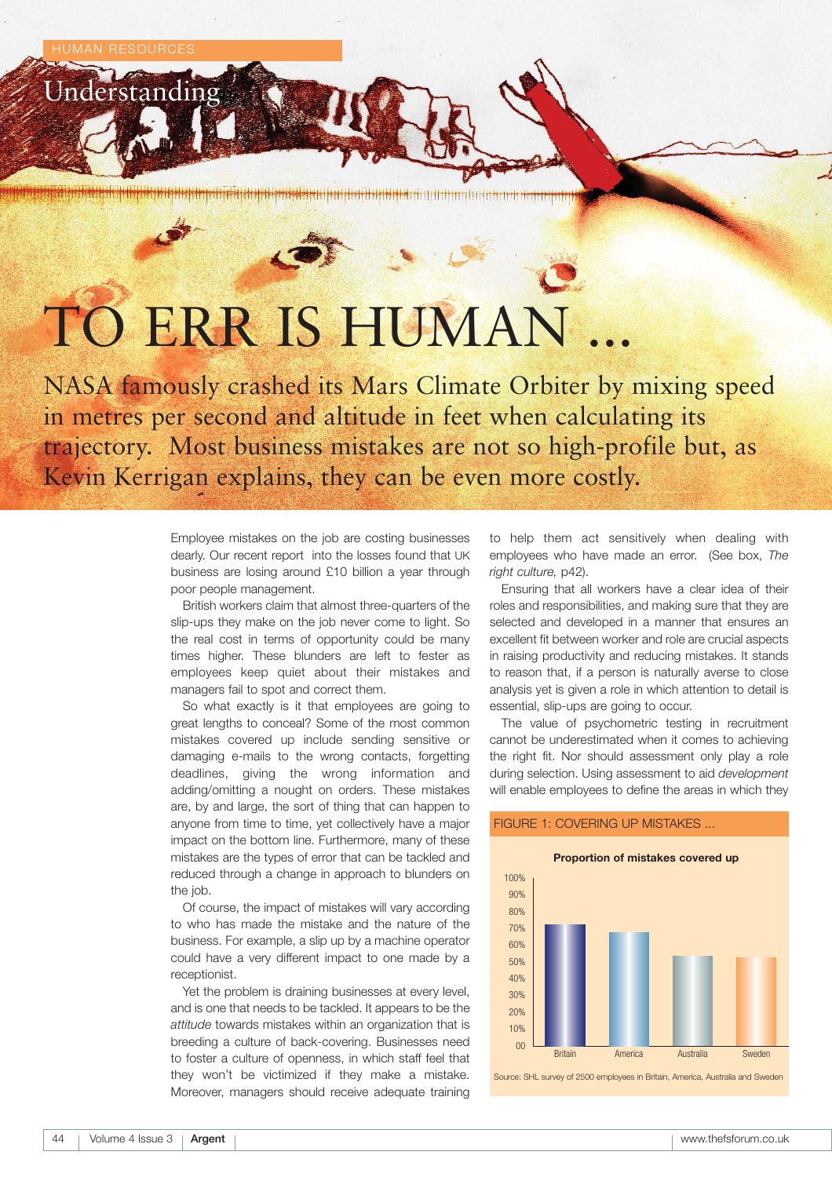Understanding

# TO ERR IS HUMAN

NASA famously crashed its Mars Climate Orbiter by mixing speed in metres per second and altitude in feet when calculating its trajectory. Most business mistakes are not so high-profile but, as Kevin Kerrigan explains, they can be even more costly.

> Employee mistakes on the job are costing businesses dearly. Our recent report into the losses found that UK business are losing around £10 billion a year through poor people management.

> British workers claim that almost three-quarters of the slip-ups they make on the job never come to light. So the real cost in terms of opportunity could be many times higher. These blunders are left to fester as employees keep quiet about their mistakes and managers fail to spot and correct them.

> So what exactly is it that employees are going to great lengths to conceal? Some of the most common mistakes covered up include sending sensitive or damaging e-mails to the wrong contacts, forgetting deadlines, giving the wrong information and adding/omitting a nought on orders. These mistakes are, by and large, the sort of thing that can happen to anyone from time to time, yet collectively have a major impact on the bottom line. Furthermore, many of these mistakes are the types of error that can be tackled and reduced through a change in approach to blunders on the job.

> Of course, the impact of mistakes will vary according to who has made the mistake and the nature of the business. For example, a slip up by a machine operator could have a very different impact to one made by a receptionist.

> Yet the problem is draining businesses at every level, and is one that needs to be tackled. It appears to be the *attitude* towards mistakes within an organization that is breeding a culture of back-covering. Businesses need to foster a culture of openness, in which staff feel that they won't be victimized if they make a mistake. Moreover, managers should receive adequate training

to help them act sensitively when dealing with employees who have made an error. (See box, *The right culture,* p42).

Ensuring that all workers have a clear idea of their roles and responsibilities, and making sure that they are selected and developed in a manner that ensures an excellent fit between worker and role are crucial aspects in raising productivity and reducing mistakes. It stands to reason that, if a person is naturally averse to close analysis yet is given a role in which attention to detail is essential, slip-ups are going to occur.

The value of psychometric testing in recruitment cannot be underestimated when it comes to achieving the right fit. Nor should assessment only play a role during selection. Using assessment to aid *development* will enable employees to define the areas in which they

### FIGURE 1: COVERING UP MISTAKES ...



Source: SHL survey of 2500 employees in Britain, America, Australia and Sweden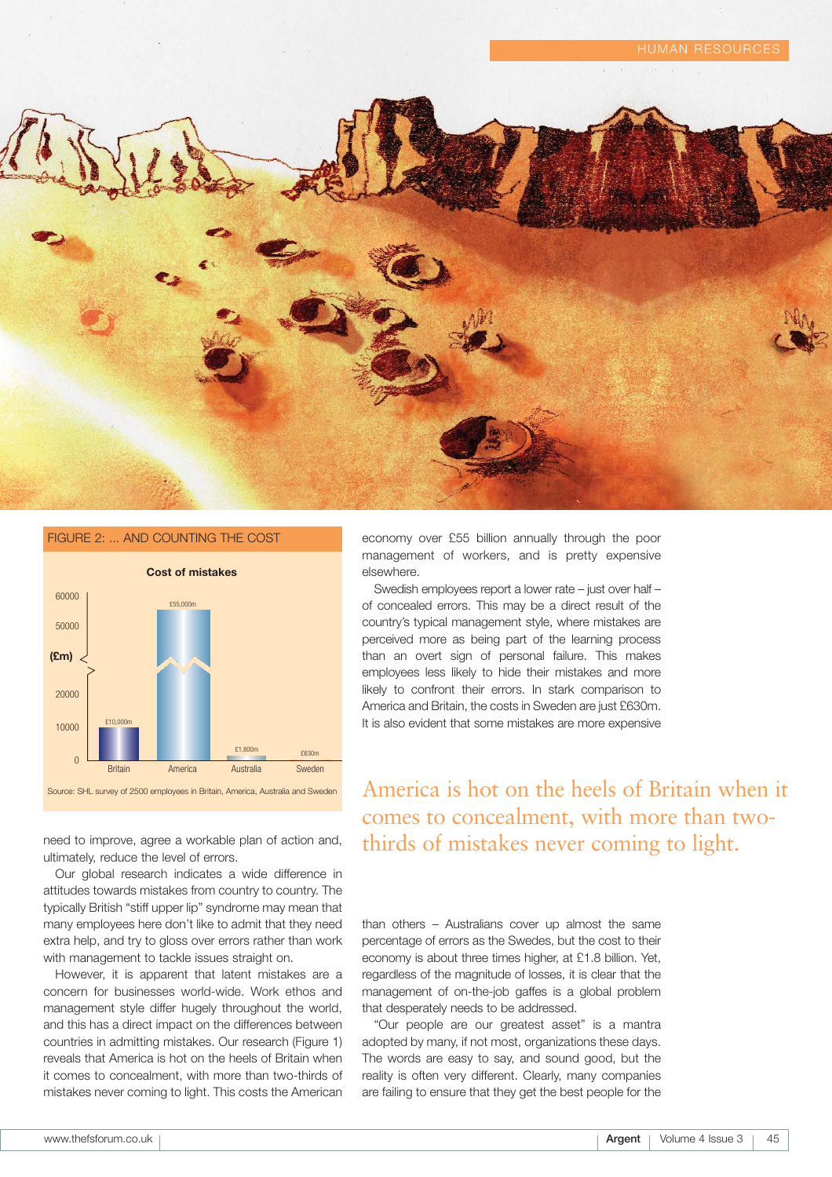



need to improve, agree a workable plan of action and, ultimately, reduce the level of errors.

Our global research indicates a wide difference in attitudes towards mistakes from country to country. The typically British "stiff upper lip" syndrome may mean that many employees here don't like to admit that they need extra help, and try to gloss over errors rather than work with management to tackle issues straight on.

However, it is apparent that latent mistakes are a concern for businesses world-wide. Work ethos and management style differ hugely throughout the world, and this has a direct impact on the differences between countries in admitting mistakes. Our research (Figure 1) reveals that America is hot on the heels of Britain when it comes to concealment, with more than two-thirds of mistakes never coming to light. This costs the American

economy over £55 billion annually through the poor management of workers, and is pretty expensive elsewhere.

Swedish employees report a lower rate – just over half – of concealed errors. This may be a direct result of the country's typical management style, where mistakes are perceived more as being part of the learning process than an overt sign of personal failure. This makes employees less likely to hide their mistakes and more likely to confront their errors. In stark comparison to America and Britain, the costs in Sweden are just £630m. It is also evident that some mistakes are more expensive

# America is hot on the heels of Britain when it comes to concealment, with more than twothirds of mistakes never coming to light.

than others – Australians cover up almost the same percentage of errors as the Swedes, but the cost to their economy is about three times higher, at £1.8 billion. Yet, regardless of the magnitude of losses, it is clear that the management of on-the-job gaffes is a global problem that desperately needs to be addressed.

"Our people are our greatest asset" is a mantra adopted by many, if not most, organizations these days. The words are easy to say, and sound good, but the reality is often very different. Clearly, many companies are failing to ensure that they get the best people for the